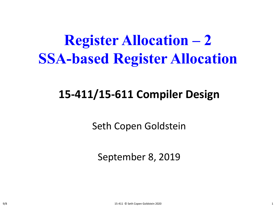# **Register Allocation – 2 SSA-based Register Allocation**

#### **15-411/15-611 Compiler Design**

Seth Copen Goldstein

September 8, 2019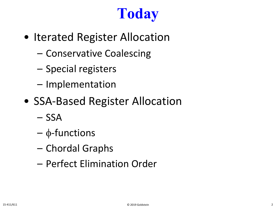# **Today**

- Iterated Register Allocation
	- Conservative Coalescing
	- Special registers
	- Implementation
- SSA-Based Register Allocation
	- SSA
	- φ-functions
	- Chordal Graphs
	- Perfect Elimination Order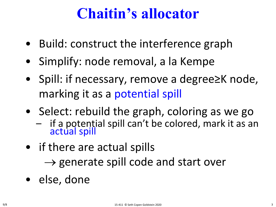#### **Chaitin's allocator**

- Build: construct the interference graph
- Simplify: node removal, a la Kempe
- Spill: if necessary, remove a degree≥K node, marking it as a potential spill
- Select: rebuild the graph, coloring as we go
	- if a potential spill can't be colored, mark it as an actual spill
- if there are actual spills

 $\rightarrow$  generate spill code and start over

• else, done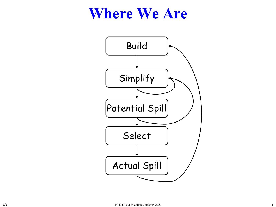#### **Where We Are**

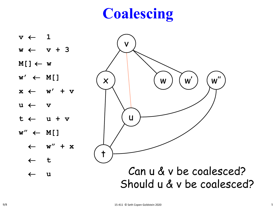# **Coalescing**

v  $\times$  ) ( w u t  $w'$ ) ( $w''$  $v \leftarrow 1$ **w** ← **v + 3 M[]** ← **w**  $w' \leftarrow M[$ **x** ← **w' + v u** ← **v t** ← **u + v w"** ← **M[]** ← **w" + x** ← **t** ← u Can U & V De Coalescea? V DE CI Can u & v be coalesced? Should u & v be coalesced?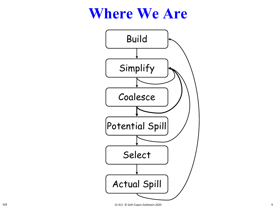#### **Where We Are**

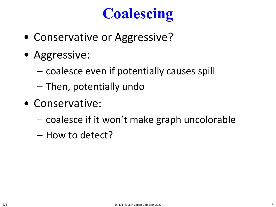# **Coalescing**

- Conservative or Aggressive?
- Aggressive:
	- coalesce even if potentially causes spill
	- Then, potentially undo
- Conservative:
	- coalesce if it won't make graph uncolorable
	- How to detect?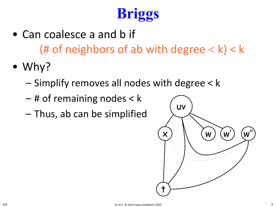# **Briggs**

- Can coalesce a and b if (# of neighbors of ab with degree  $< k$ ) < k
- Why?
	- Simplify removes all nodes with degree < k
	- # of remaining nodes < k
	- Thus, ab can be simplified

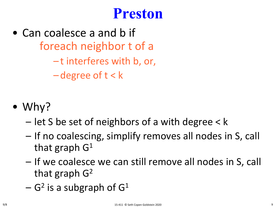#### **Preston**

- Can coalesce a and b if foreach neighbor t of a – t interferes with b, or, – degree of t < k
- Why?
	- let S be set of neighbors of a with degree < k
	- If no coalescing, simplify removes all nodes in S, call that graph  $G<sup>1</sup>$
	- If we coalesce we can still remove all nodes in S, call that graph  $G<sup>2</sup>$
	- $-$  G<sup>2</sup> is a subgraph of G<sup>1</sup>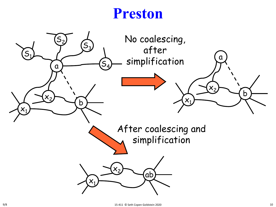#### **Preston**

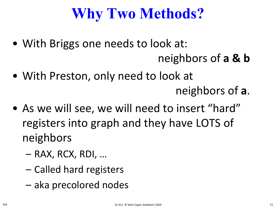# **Why Two Methods?**

- With Briggs one needs to look at: neighbors of **a & b**
- With Preston, only need to look at

neighbors of **a**.

- As we will see, we will need to insert "hard" registers into graph and they have LOTS of neighbors
	- RAX, RCX, RDI, …
	- Called hard registers
	- aka precolored nodes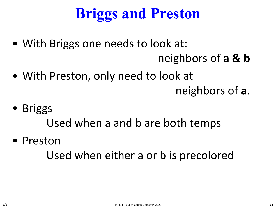# **Briggs and Preston**

- With Briggs one needs to look at: neighbors of **a & b**
- With Preston, only need to look at

neighbors of **a**.

• Briggs

Used when a and b are both temps

• Preston

Used when either a or b is precolored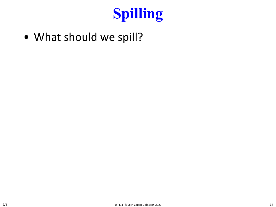

• What should we spill?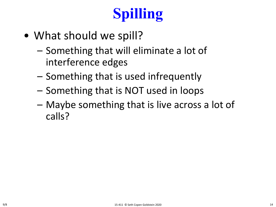# **Spilling**

- What should we spill?
	- Something that will eliminate a lot of interference edges
	- Something that is used infrequently
	- Something that is NOT used in loops
	- Maybe something that is live across a lot of calls?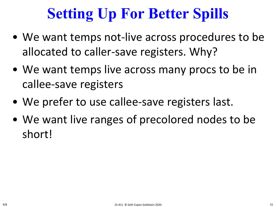# **Setting Up For Better Spills**

- We want temps not-live across procedures to be allocated to caller-save registers. Why?
- We want temps live across many procs to be in callee-save registers
- We prefer to use callee-save registers last.
- We want live ranges of precolored nodes to be short!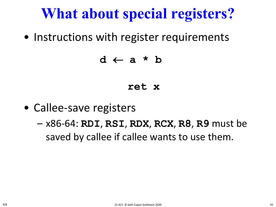• Instructions with register requirements

#### **d** ← **a \* b**

#### **ret x**

- Callee-save registers
	- x86-64: **RDI**, **RSI**, **RDX**, **RCX**, **R8**, **R9** must be saved by callee if callee wants to use them.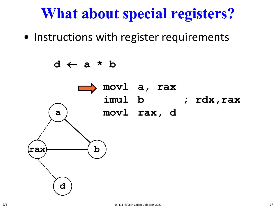• Instructions with register requirements

**d** ← **a \* b**

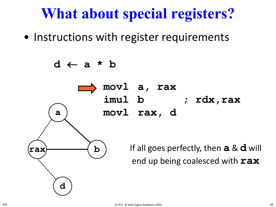• Instructions with register requirements

**d** ← **a \* b**

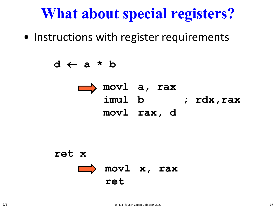• Instructions with register requirements

**d** ← **a \* b**



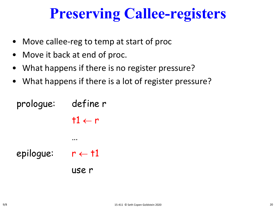## **Preserving Callee-registers**

- Move callee-reg to temp at start of proc
- Move it back at end of proc.
- What happens if there is no register pressure?
- What happens if there is a lot of register pressure?

```
prologue: define r
                t1 \leftarrow r…
epilogue: r \leftarrow \pm 1use r
```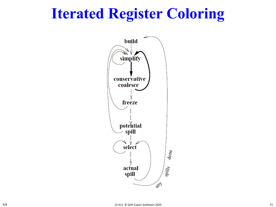## **Iterated Register Coloring**

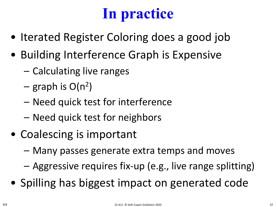# **In practice**

- Iterated Register Coloring does a good job
- Building Interference Graph is Expensive
	- Calculating live ranges
	- graph is  $O(n^2)$
	- Need quick test for interference
	- Need quick test for neighbors
- Coalescing is important
	- Many passes generate extra temps and moves
	- Aggressive requires fix-up (e.g., live range splitting)
- Spilling has biggest impact on generated code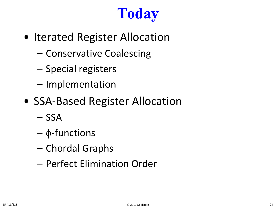# **Today**

- Iterated Register Allocation
	- Conservative Coalescing
	- Special registers
	- Implementation
- SSA-Based Register Allocation
	- SSA
	- φ-functions
	- Chordal Graphs
	- Perfect Elimination Order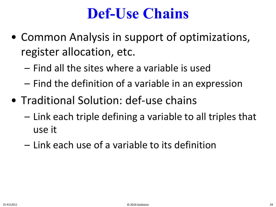## **Def-Use Chains**

- Common Analysis in support of optimizations, register allocation, etc.
	- Find all the sites where a variable is used
	- Find the definition of a variable in an expression
- Traditional Solution: def-use chains
	- Link each triple defining a variable to all triples that use it
	- Link each use of a variable to its definition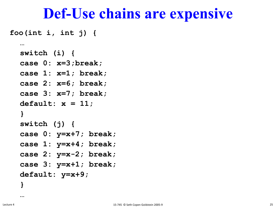#### **Def-Use chains are expensive**

**foo(int i, int j) {**

**…**

```
switch (i) {
case 0: x=3;break;
case 1: x=1; break;
case 2: x=6; break;
case 3: x=7; break;
default: x = 11;
}
switch (j) {
case 0: y=x+7; break;
case 1: y=x+4; break; 
case 2: y=x-2; break;
case 3: y=x+1; break;
default: y=x+9;
}
```
**…**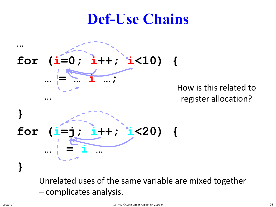## **Def-Use Chains**



How is this related to register allocation?



Unrelated uses of the same variable are mixed together – complicates analysis.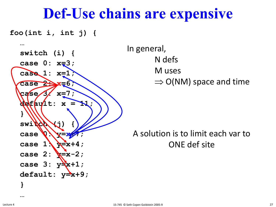#### **Def-Use chains are expensive**

**foo(int i, int j) {**



In general, N defs M uses  $\Rightarrow$  O(NM) space and time

A solution is to limit each var to ONE def site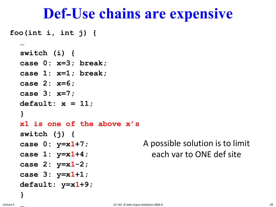#### **Def-Use chains are expensive**

**foo(int i, int j) {**

```
…
switch (i) {
case 0: x=3; break;
case 1: x=1; break;
case 2: x=6;
case 3: x=7;
default: x = 11;
}
x1 is one of the above x's
switch (j) {
case 0: y=x1+7;
case 1: y=x1+4; 
case 2: y=x1-2;
case 3: y=x1+1;
default: y=x1+9;
                             A possible solution is to limit 
                                each var to ONE def site
```
**}**

**…**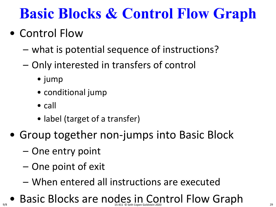# **Basic Blocks & Control Flow Graph**

#### • Control Flow

- what is potential sequence of instructions?
- Only interested in transfers of control
	- jump
	- conditional jump
	- call

9/8

- label (target of a transfer)
- Group together non-jumps into Basic Block
	- One entry point
	- One point of exit
	- When entered all instructions are executed
- Basic Blocks are nodes in Control Flow Graph 15-411 © Seth Copen Goldstein 2020 <sup>29</sup>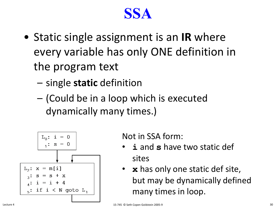#### **SSA**

- Static single assignment is an **IR** where every variable has only ONE definition in the program text
	- single **static** definition
	- (Could be in a loop which is executed dynamically many times.)



Not in SSA form:

- **i** and **s** have two static def sites
- **x** has only one static def site, but may be dynamically defined many times in loop.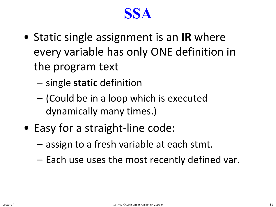#### **SSA**

- Static single assignment is an **IR** where every variable has only ONE definition in the program text
	- single **static** definition
	- (Could be in a loop which is executed dynamically many times.)
- Easy for a straight-line code:
	- assign to a fresh variable at each stmt.
	- Each use uses the most recently defined var.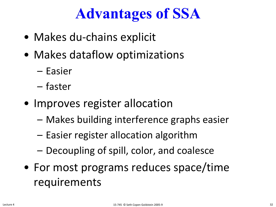# **Advantages of SSA**

- Makes du-chains explicit
- Makes dataflow optimizations
	- Easier
	- faster
- Improves register allocation
	- Makes building interference graphs easier
	- Easier register allocation algorithm
	- Decoupling of spill, color, and coalesce
- For most programs reduces space/time requirements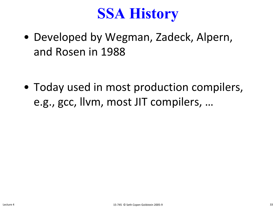### **SSA History**

• Developed by Wegman, Zadeck, Alpern, and Rosen in 1988

• Today used in most production compilers, e.g., gcc, llvm, most JIT compilers, …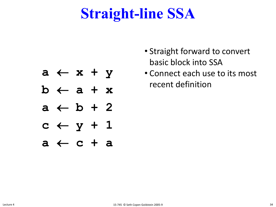## **Straight-line SSA**

- **a** ← **x + y**
- **b** ← **a + x**
- **a** ← **b + 2**
- **c** ← **y + 1**
- **a** ← **c + a**
- Straight forward to convert basic block into SSA
- Connect each use to its most recent definition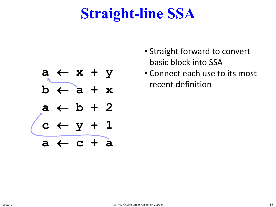## **Straight-line SSA**



- Straight forward to convert basic block into SSA
- Connect each use to its most recent definition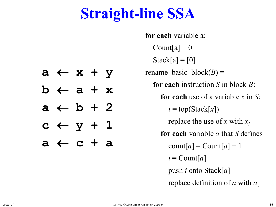## **Straight-line SSA**

**for each** variable a: Count[a] =  $0$  $Stack[a] = [0]$ rename basic  $block(B) =$ **for each** instruction *S* in block *B*: **for each** use of a variable *x* in *S*:  $i = top(Stack[x])$ replace the use of *x* with *xi* **for each** variable *a* that *S* defines  $\text{count}[a] = \text{Count}[a] + 1$  $i =$  Count[a] push *i* onto Stack[*a*] replace definition of *a* with *ai*

- **a** ← **x + y b** ← **a + x a** ← **b + 2**
- $c \leftarrow y + 1$
- **a** ← **c + a**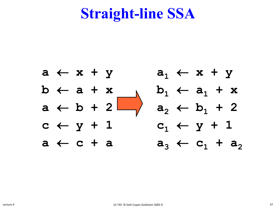#### **Straight-line SSA**



37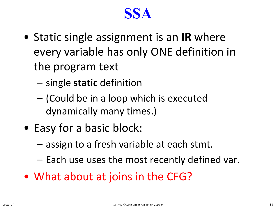#### **SSA**

- Static single assignment is an **IR** where every variable has only ONE definition in the program text
	- single **static** definition
	- (Could be in a loop which is executed dynamically many times.)
- Easy for a basic block:
	- assign to a fresh variable at each stmt.
	- Each use uses the most recently defined var.
- What about at joins in the CFG?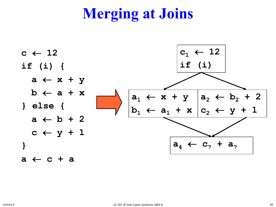# **Merging at Joins**

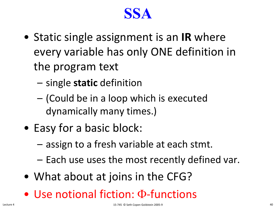#### **SSA**

- Static single assignment is an **IR** where every variable has only ONE definition in the program text
	- single **static** definition
	- (Could be in a loop which is executed dynamically many times.)
- Easy for a basic block:
	- assign to a fresh variable at each stmt.
	- Each use uses the most recently defined var.
- What about at joins in the CFG?
- Use notional fiction: Φ-functions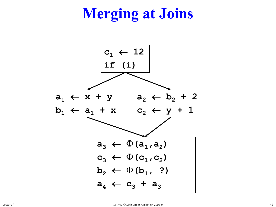# **Merging at Joins**

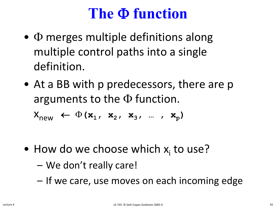#### **The** Φ **function**

- $\Phi$  merges multiple definitions along multiple control paths into a single definition.
- At a BB with p predecessors, there are p arguments to the  $\Phi$  function.

 $X_{new} \leftarrow \Phi(x_1, x_2, x_3, ..., x_p)$ 

- How do we choose which  $x_i$  to use?
	- We don't really care!
	- If we care, use moves on each incoming edge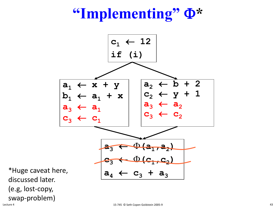### **"Implementing"** Φ**\***



\*Huge caveat here, discussed later. (e.g, lost-copy, swap-problem)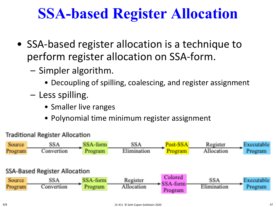# **SSA-based Register Allocation**

- SSA-based register allocation is a technique to perform register allocation on SSA-form.
	- Simpler algorithm.
		- Decoupling of spilling, coalescing, and register assignment
	- Less spilling.
		- Smaller live ranges
		- Polynomial time minimum register assignment

#### **Traditional Register Allocation**

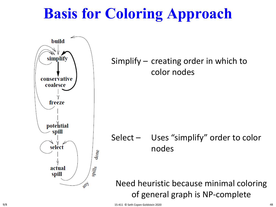# **Basis for Coloring Approach**



9/8 15-411 © Seth Copen Goldstein 2020 48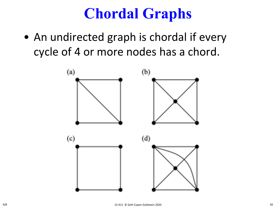### **Chordal Graphs**

• An undirected graph is chordal if every cycle of 4 or more nodes has a chord.

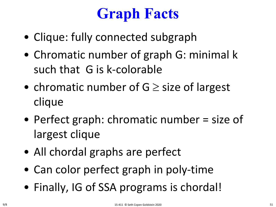# **Graph Facts**

- Clique: fully connected subgraph
- Chromatic number of graph G: minimal k such that G is k-colorable
- chromatic number of  $G \geq$  size of largest clique
- Perfect graph: chromatic number = size of largest clique
- All chordal graphs are perfect
- Can color perfect graph in poly-time
- Finally, IG of SSA programs is chordal!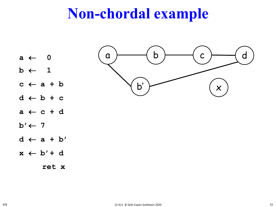#### **Non-chordal example**

- **a** ← **0**
- $b \leftarrow 1$
- $c \leftarrow a + b$
- **d** ← **b + c**
- **a** ← **c + d**
- **b'**← **7**
- **d** ← **a + b'**
- $x \leftarrow b' + d$

**ret x**

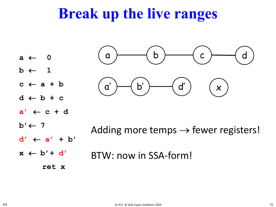#### **Break up the live ranges**

- **a** ← **0**
- $b \leftarrow 1$
- $c \leftarrow a + b$
- **d** ← **b + c**
- $a' \leftarrow c + d$
- $b' \leftarrow 7$
- **d'** ← **a' + b'**
- $x \leftarrow b' + d'$

 $\begin{array}{|c|c|c|c|}\hline \hspace{.1in} & \hspace{.1in} & \hspace{.1in} & \hspace{.1in} & \hspace{.1in} & \hspace{.1in} & \hspace{.1in} & \hspace{.1in} & \hspace{.1in} & \hspace{.1in} & \hspace{.1in} & \hspace{.1in} & \hspace{.1in} & \hspace{.1in} & \hspace{.1in} & \hspace{.1in} & \hspace{.1in} & \hspace{.1in} & \hspace{.1in} & \hspace{.1in} & \hspace{.1in} & \hspace{.1in} & \hspace{.$ b'  $\rightarrow$   $\qquad$   $\qquad$   $\qquad$   $\qquad$   $\qquad$   $\qquad$   $\qquad$   $\qquad$   $\qquad$   $\qquad$   $\qquad$   $\qquad$   $\qquad$   $\qquad$   $\qquad$   $\qquad$   $\qquad$   $\qquad$   $\qquad$   $\qquad$   $\qquad$   $\qquad$   $\qquad$   $\qquad$   $\qquad$   $\qquad$   $\qquad$   $\qquad$   $\qquad$   $\qquad$   $\qquad$   $\qquad$   $\qquad$   $\qquad$   $\qquad$   $\q$ d a' )—( b' )——( d'

- Adding more temps  $\rightarrow$  fewer registers!
- BTW: now in SSA-form!
	- **ret x**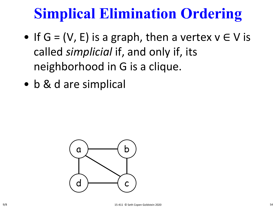- If  $G = (V, E)$  is a graph, then a vertex  $v \in V$  is called *simplicial* if, and only if, its neighborhood in G is a clique.
- b & d are simplical

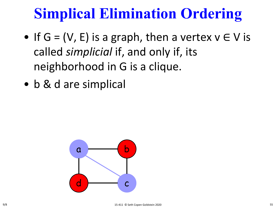- If  $G = (V, E)$  is a graph, then a vertex  $v \in V$  is called *simplicial* if, and only if, its neighborhood in G is a clique.
- b & d are simplical

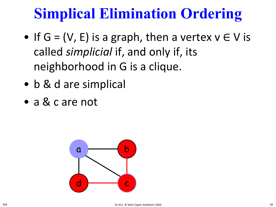- If  $G = (V, E)$  is a graph, then a vertex  $v \in V$  is called *simplicial* if, and only if, its neighborhood in G is a clique.
- b & d are simplical
- a & c are not

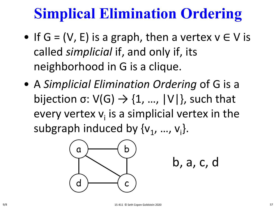- If  $G = (V, E)$  is a graph, then a vertex  $v \in V$  is called *simplicial* if, and only if, its neighborhood in G is a clique.
- A *Simplicial Elimination Ordering* of G is a bijection σ:  $V(G) \rightarrow \{1, ..., |V|\}$ , such that every vertex  $v_i$  is a simplicial vertex in the subgraph induced by  $\{v_1, ..., v_i\}$ .



b, a, c, d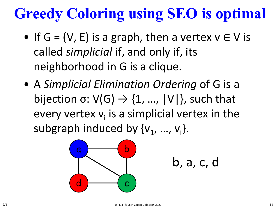# **Greedy Coloring using SEO is optimal**

- If  $G = (V, E)$  is a graph, then a vertex  $v \in V$  is called *simplicial* if, and only if, its neighborhood in G is a clique.
- A *Simplicial Elimination Ordering* of G is a bijection σ:  $V(G) \rightarrow \{1, ..., |V|\}$ , such that every vertex  $v_i$  is a simplicial vertex in the subgraph induced by  $\{v_1, ..., v_i\}$ .



b, a, c, d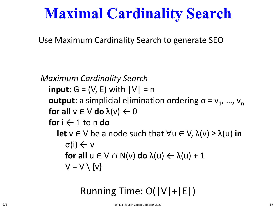### **Maximal Cardinality Search**

Use Maximum Cardinality Search to generate SEO

*Maximum Cardinality Search* **input**:  $G = (V, E)$  with  $|V| = n$ **output**: a simplicial elimination ordering  $\sigma = v_1$ , ...,  $v_n$ **for all**  $v \in V$  **do**  $\lambda(v) \leftarrow 0$ **for**  $i \leftarrow 1$  to n **do let**  $v \in V$  be a node such that  $\forall u \in V$ ,  $\lambda(v) \geq \lambda(u)$  in σ(i) ← v **for all** u ∈ V ∩ N(v) **do** λ(u) ← λ(u) + 1  $V = V \setminus \{v\}$ 

#### Running Time: O(|V|+|E|)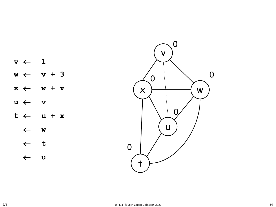$\begin{pmatrix} 0 \\ -411 \ 0 \end{pmatrix}$  seth Copen Goldstein 2020 **v**  ← **1 w**  ← **v + 3 x**  ← **w + v u**  ← **v t**  ← **u + x** ← **w** ← **t** ← **u** 0  $\overline{0}$ 0 0



0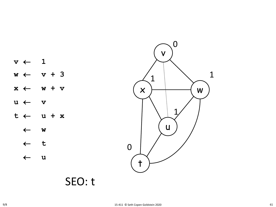

SEO: t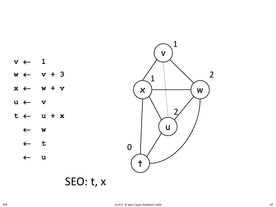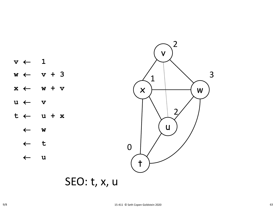

SEO: t, x, u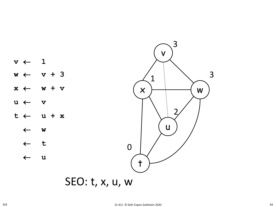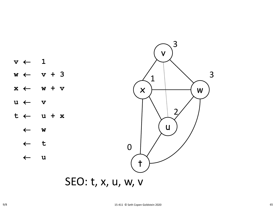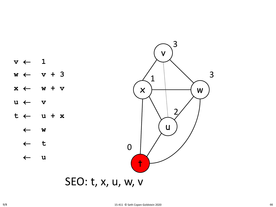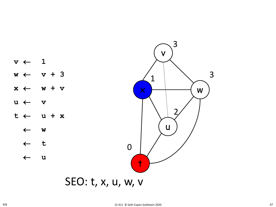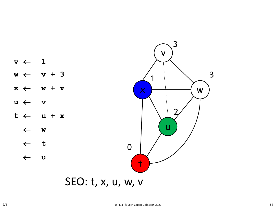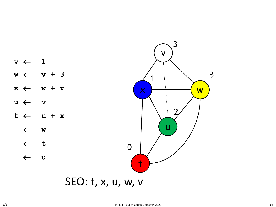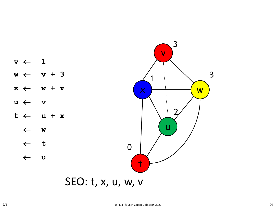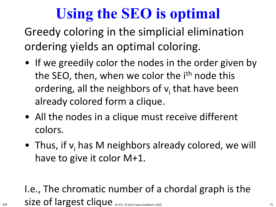# **Using the SEO is optimal**

Greedy coloring in the simplicial elimination ordering yields an optimal coloring.

- If we greedily color the nodes in the order given by the SEO, then, when we color the i<sup>th</sup> node this ordering, all the neighbors of  $v_i$  that have been already colored form a clique.
- All the nodes in a clique must receive different colors.
- Thus, if  $v_i$  has M neighbors already colored, we will have to give it color M+1.

#### I.e., The chromatic number of a chordal graph is the 9/8  $\qquad$  Size of largest clique 15-411 © Seth Copen Goldstein 2020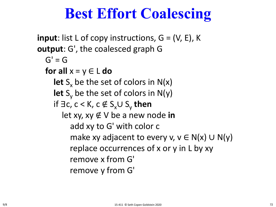### **Best Effort Coalescing**

**input**: list L of copy instructions,  $G = (V, E)$ , K **output**: G', the coalesced graph G  $G' = G$ **for all**  $x = y \in L$  **do let**  $S_x$  be the set of colors in  $N(x)$ **let**  $S_v$  be the set of colors in  $N(y)$ if  $\exists$  c, c < K, c  $\notin$  S<sub>x</sub>∪ S<sub>v</sub> then let xy, xy ∉ V be a new node **in** add xy to G' with color c make xy adjacent to every v,  $v \in N(x) \cup N(y)$ replace occurrences of x or y in L by xy remove x from G' remove y from G'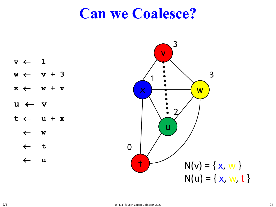#### **Can we Coalesce?**

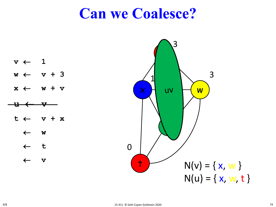#### **Can we Coalesce?**

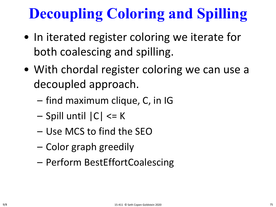# **Decoupling Coloring and Spilling**

- In iterated register coloring we iterate for both coalescing and spilling.
- With chordal register coloring we can use a decoupled approach.
	- find maximum clique, C, in IG
	- Spill until |C| <= K
	- Use MCS to find the SEO
	- Color graph greedily
	- Perform BestEffortCoalescing